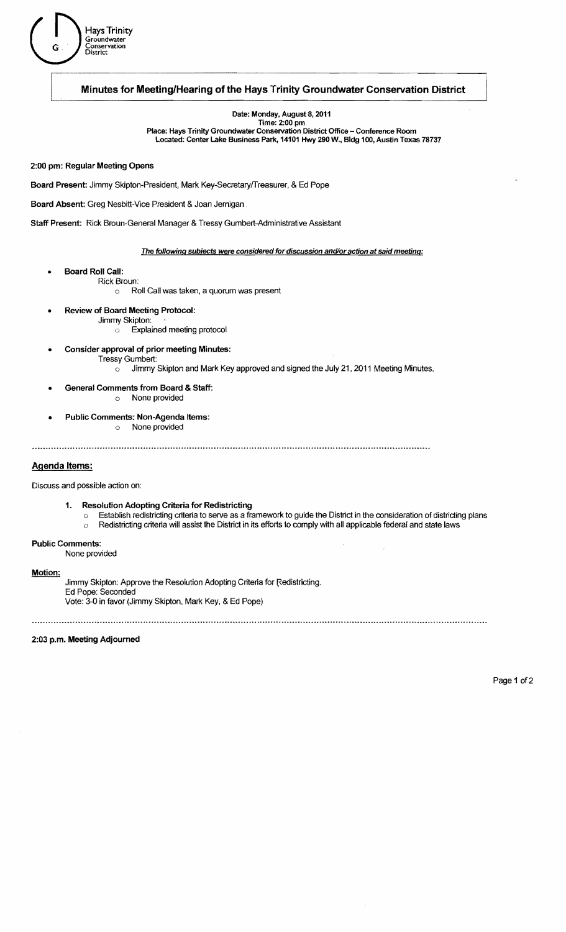

# Minutes for Meeting/Hearing of the Hays Trinity Groundwater Conservation District

Date: Monday, August 8, 2011<br>Time: 2:00 pm<br>Place: Hays Trinity Groundwater Conservation District Office – Conference Room located: Center lake Business Park, 14101 Hwy 290 W., Bldg 100, Austin Texas 78737

## 2:00 pm: Regular Meeting Opens

Board Present: Jimmy Skipton-President, Mark Key-Secretaryffreasurer, & Ed Pope

Board Absent: Greg Nesbitt-Vice President & Joan Jernigan

Staff Present: Rick Broun-General Manager & Tressy Gumbert-Administrative Assistant

#### The following subjects were considered for discussion and/or action at said meeting:

- **Board Roll Call:** 
	- o Roll Call was taken, a quorum was present
- Review of Board Meeting Protocol: Jimmy Skipton:

Rick Broun:

- o Explained meeting protocol
- Consider approval of prior meeting Minutes: Tressy Gumbert:  $\circ$  Jimmy Skipton and Mark Key approved and signed the July 21, 2011 Meeting Minutes.
- General Comments from Board & Staff: o None provided
- Public Comments: Non-Agenda Items: o None provided

## Agenda Items:

Discuss and possible action on:

- 1. Resolution Adopting Criteria for Redistricting
	- Establish redistricting criteria to serve as a framework to guide the District in the consideration of districting plans  $\circ$  Redistricting criteria will assist the District in its efforts to comply with all applicable federal and state laws

# Public Comments:

None provided

### Motion:

Jimmy Skipton: Approve the Resolution Adopting Criteria for Redistricting. Ed Pope: Seconded Vote: 3-0 in favor (Jimmy Skipton, Mark Key, & Ed Pope)

2:03 p.m. Meeting Adjourned